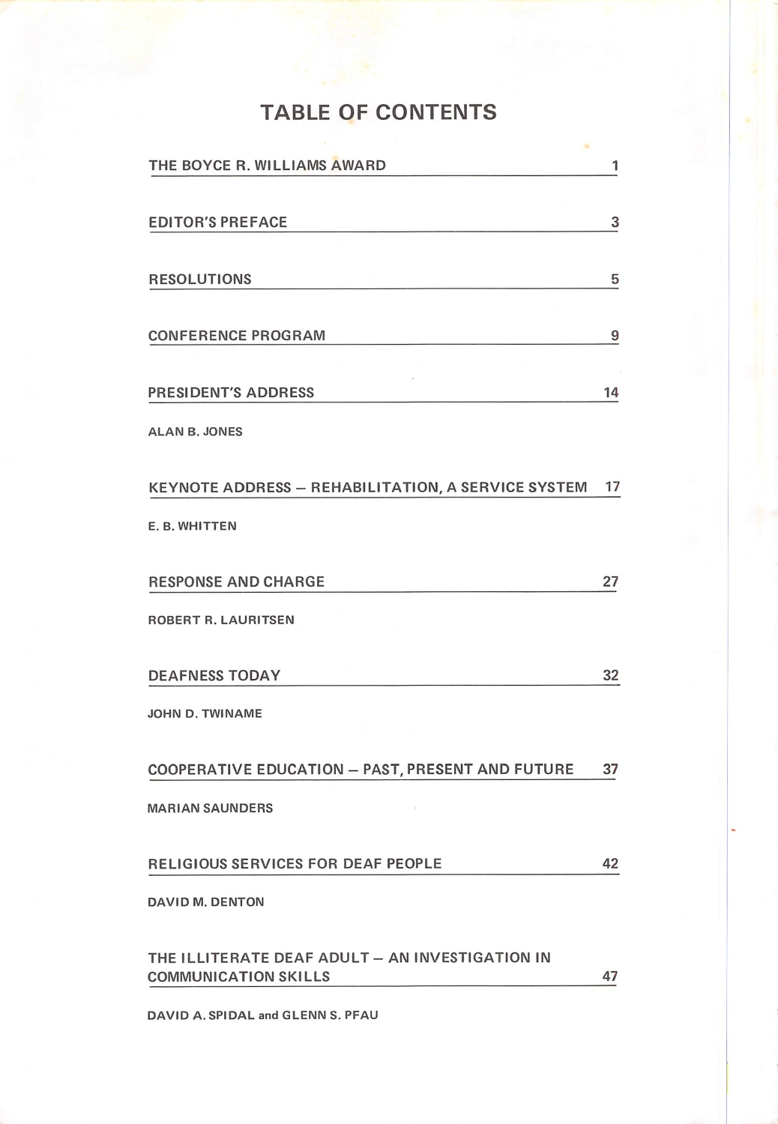# TABLE OF CONTENTS

| THE BOYCE R. WILLIAMS AWARD                                                    | 1  |
|--------------------------------------------------------------------------------|----|
| <b>EDITOR'S PREFACE</b>                                                        | 3  |
| <b>RESOLUTIONS</b>                                                             | 5  |
| <b>CONFERENCE PROGRAM</b>                                                      | 9  |
| <b>PRESIDENT'S ADDRESS</b>                                                     | 14 |
| <b>ALAN B. JONES</b>                                                           |    |
| KEYNOTE ADDRESS - REHABILITATION, A SERVICE SYSTEM                             | 17 |
| E. B. WHITTEN                                                                  |    |
| <b>RESPONSE AND CHARGE</b>                                                     | 27 |
| ROBERT R. LAURITSEN                                                            |    |
| <b>DEAFNESS TODAY</b>                                                          | 32 |
| JOHN D. TWINAME                                                                |    |
| <b>COOPERATIVE EDUCATION - PAST, PRESENT AND FUTURE</b>                        | 37 |
| <b>MARIAN SAUNDERS</b>                                                         |    |
| RELIGIOUS SERVICES FOR DEAF PEOPLE                                             | 42 |
| DAVID M. DENTON                                                                |    |
| THE ILLITERATE DEAF ADULT - AN INVESTIGATION IN<br><b>COMMUNICATION SKILLS</b> | 47 |

DAVID A. SPIDAL and GLENN S. PFAU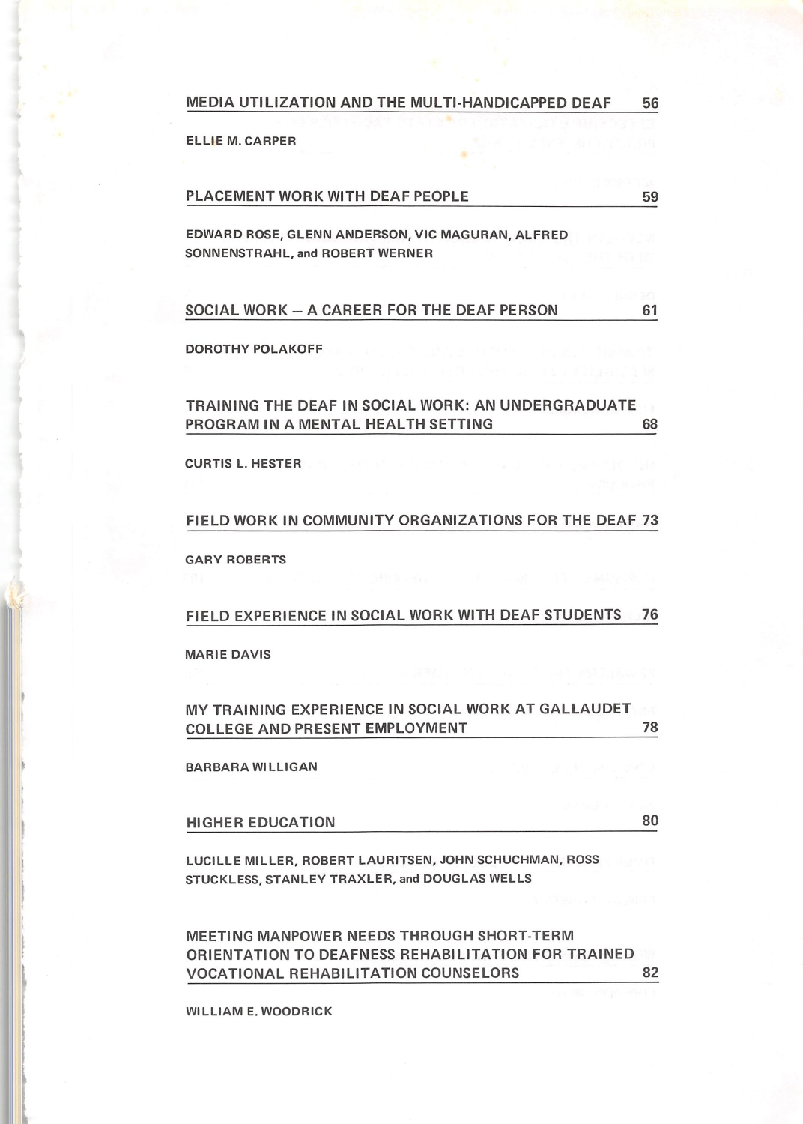MEDIA UTILIZATION AND THE MULTI-HANDICAPPED DEAF 56

ELLIE M. CARPER

(

t

I I

| EDWARD ROSE, GLENN ANDERSON, VIC MAGURAN, ALFRED<br>SONNENSTRAHL, and ROBERT WERNER |  |
|-------------------------------------------------------------------------------------|--|
|                                                                                     |  |
| SOCIAL WORK - A CAREER FOR THE DEAF PERSON                                          |  |

PLACEMENT WORK WITH DEAF PEOPLE **Manufather Manufather Manufather Manufather Manufather Manufather Manufather S** 

#### DOROTHY POLAKOFF

### TRAINING THE DEAF IN SOCIAL WORK: AN UNDERGRADUATE PROGRAM IN A MENTAL HEALTH SETTING ^

CURTIS L. HESTER

### FIELD WORK IN COMMUNITY ORGANIZATIONS FOR THE DEAF 73

GARY ROBERTS

### FIELD EXPERIENCE IN SOCIAL WORK WITH DEAF STUDENTS 76

### MARIE DAVIS

### MY TRAINING EXPERIENCE IN SOCIAL WORK AT GALLAUDET COLLEGE AND PRESENT EMPLOYMENT **THE**

BARBARA WILLIGAN

HIGHER EDUCATION 80

LUCILLE MILLER, ROBERT LAURITSEN, JOHN SCHUCHMAN, ROSS STUCKLESS, STANLEY TRAXLER, and DOUGLAS WELLS

MEETING MANPOWER NEEDS THROUGH SHORT-TERM ORIENTATION TO DEAFNESS REHABILITATION FOR TRAINED VOCATIONAL REHABILITATION COUNSELORS 82

WILLIAM E. WOODRICK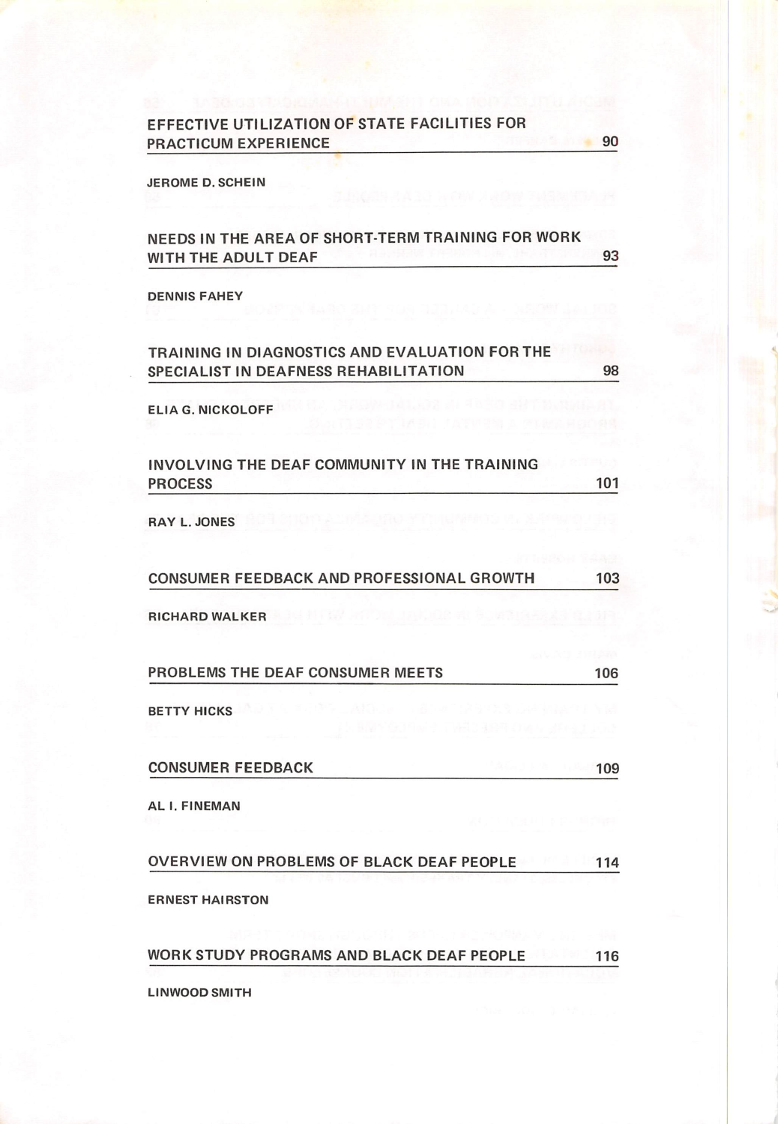| EFFECTIVE UTILIZATION OF STATE FACILITIES FOR |  |
|-----------------------------------------------|--|
| <b>PRACTICUM EXPERIENCE</b>                   |  |

JEROME D. SCHEIN

**PRACTIC** 

| NEEDS IN THE AREA OF SHORT-TERM TRAINING FOR WORK<br>WITH THE ADULT DEAF                | 93  |
|-----------------------------------------------------------------------------------------|-----|
| <b>DENNIS FAHEY</b>                                                                     |     |
| TRAINING IN DIAGNOSTICS AND EVALUATION FOR THE<br>SPECIALIST IN DEAFNESS REHABILITATION | 98  |
| <b>ELIA G. NICKOLOFF</b>                                                                |     |
| INVOLVING THE DEAF COMMUNITY IN THE TRAINING<br><b>PROCESS</b>                          | 101 |
| <b>RAY L. JONES</b>                                                                     |     |
| CONSUMER FEEDBACK AND PROFESSIONAL GROWTH                                               | 103 |
| <b>RICHARD WALKER</b>                                                                   |     |
| PROBLEMS THE DEAF CONSUMER MEETS                                                        | 106 |
| <b>BETTY HICKS</b>                                                                      |     |
| <b>CONSUMER FEEDBACK</b>                                                                | 109 |
| AL I. FINEMAN                                                                           |     |
| OVERVIEW ON PROBLEMS OF BLACK DEAF PEOPLE                                               | 114 |
| <b>ERNEST HAIRSTON</b>                                                                  |     |
| WORK STUDY PROGRAMS AND BLACK DEAF PEOPLE                                               | 116 |

LINWOOD SMITH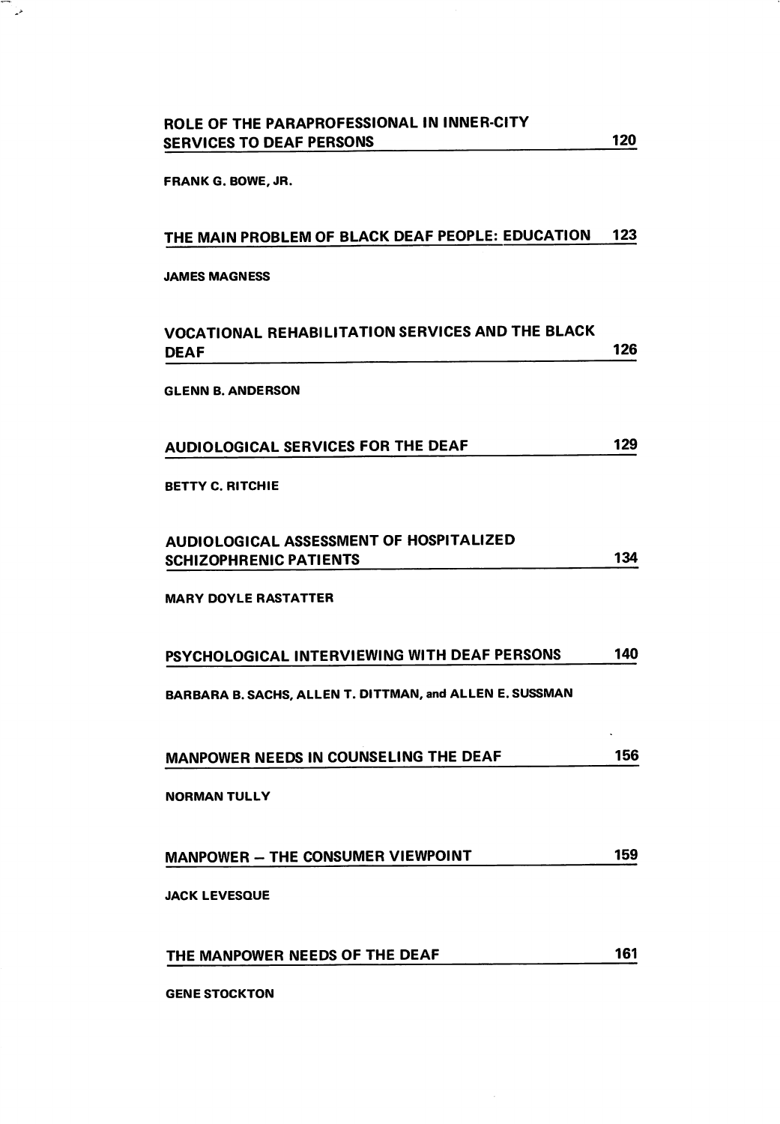FRANK G.BOWE, JR.

్త

## THE MAIN PROBLEM OF BLACK DEAF PEOPLE: EDUCATION 123

### JAMES MAGNESS

| VOCATIONAL REHABILITATION SERVICES AND THE BLACK<br>DEAF                                                 | 126 |
|----------------------------------------------------------------------------------------------------------|-----|
| <b>GLENN B. ANDERSON</b>                                                                                 |     |
| <b>AUDIOLOGICAL SERVICES FOR THE DEAF</b>                                                                | 129 |
| <b>BETTY C. RITCHIE</b>                                                                                  |     |
| AUDIOLOGICAL ASSESSMENT OF HOSPITALIZED<br><b>SCHIZOPHRENIC PATIENTS</b>                                 | 134 |
| <b>MARY DOYLE RASTATTER</b>                                                                              |     |
| PSYCHOLOGICAL INTERVIEWING WITH DEAF PERSONS<br>BARBARA B. SACHS, ALLEN T. DITTMAN, and ALLEN E. SUSSMAN | 140 |
| MANPOWER NEEDS IN COUNSELING THE DEAF                                                                    | 156 |
| <b>NORMAN TULLY</b>                                                                                      |     |
| MANPOWER - THE CONSUMER VIEWPOINT                                                                        | 159 |
| <b>JACK LEVESQUE</b>                                                                                     |     |
| THE MANPOWER NEEDS OF THE DEAF                                                                           | 161 |
| <b>GENE STOCKTON</b>                                                                                     |     |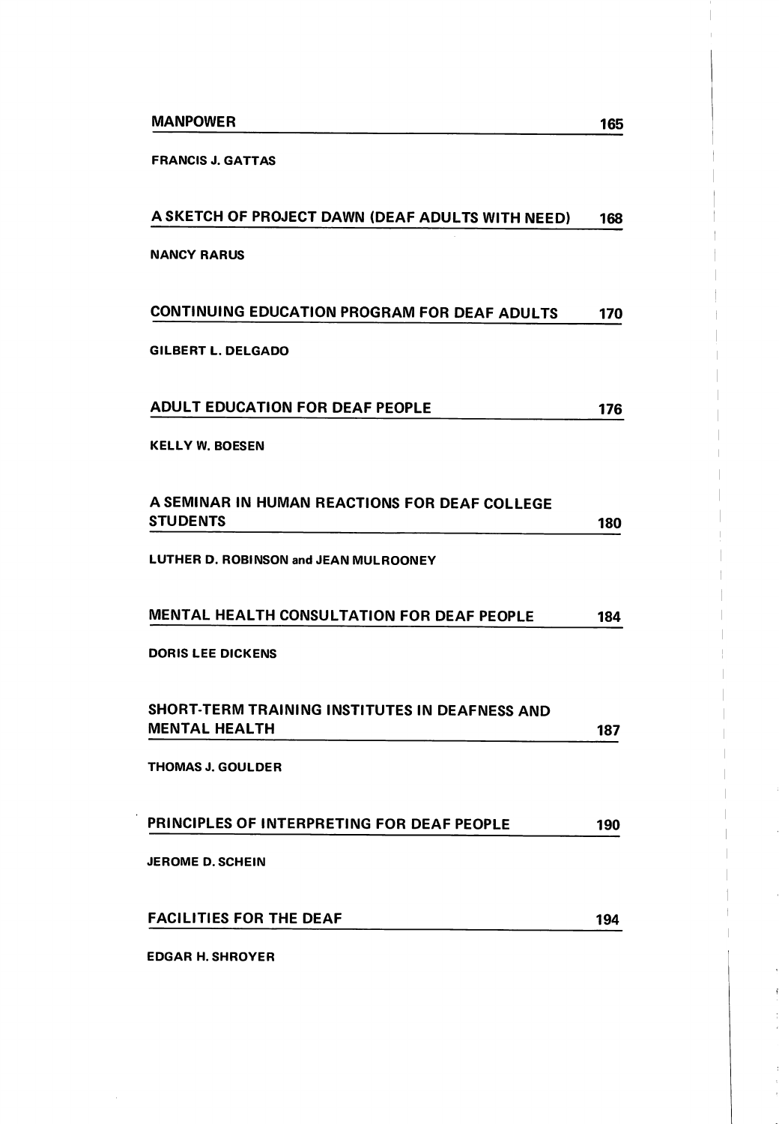FRANCIS J. GATTAS

| A SKETCH OF PROJECT DAWN (DEAF ADULTS WITH NEED)                       | 168 |
|------------------------------------------------------------------------|-----|
| <b>NANCY RARUS</b>                                                     |     |
| CONTINUING EDUCATION PROGRAM FOR DEAF ADULTS                           | 170 |
| GILBERT L. DELGADO                                                     |     |
| <b>ADULT EDUCATION FOR DEAF PEOPLE</b>                                 | 176 |
| <b>KELLY W. BOESEN</b>                                                 |     |
| A SEMINAR IN HUMAN REACTIONS FOR DEAF COLLEGE<br><b>STUDENTS</b>       | 180 |
| LUTHER D. ROBINSON and JEAN MULROONEY                                  |     |
| <b>MENTAL HEALTH CONSULTATION FOR DEAF PEOPLE</b>                      | 184 |
| <b>DORIS LEE DICKENS</b>                                               |     |
| SHORT-TERM TRAINING INSTITUTES IN DEAFNESS AND<br><b>MENTAL HEALTH</b> | 187 |
| <b>THOMAS J. GOULDER</b>                                               |     |
| PRINCIPLES OF INTERPRETING FOR DEAF PEOPLE                             | 190 |
| <b>JEROME D. SCHEIN</b>                                                |     |
| <b>FACILITIES FOR THE DEAF</b>                                         | 194 |
| <b>EDGAR H. SHROYER</b>                                                |     |